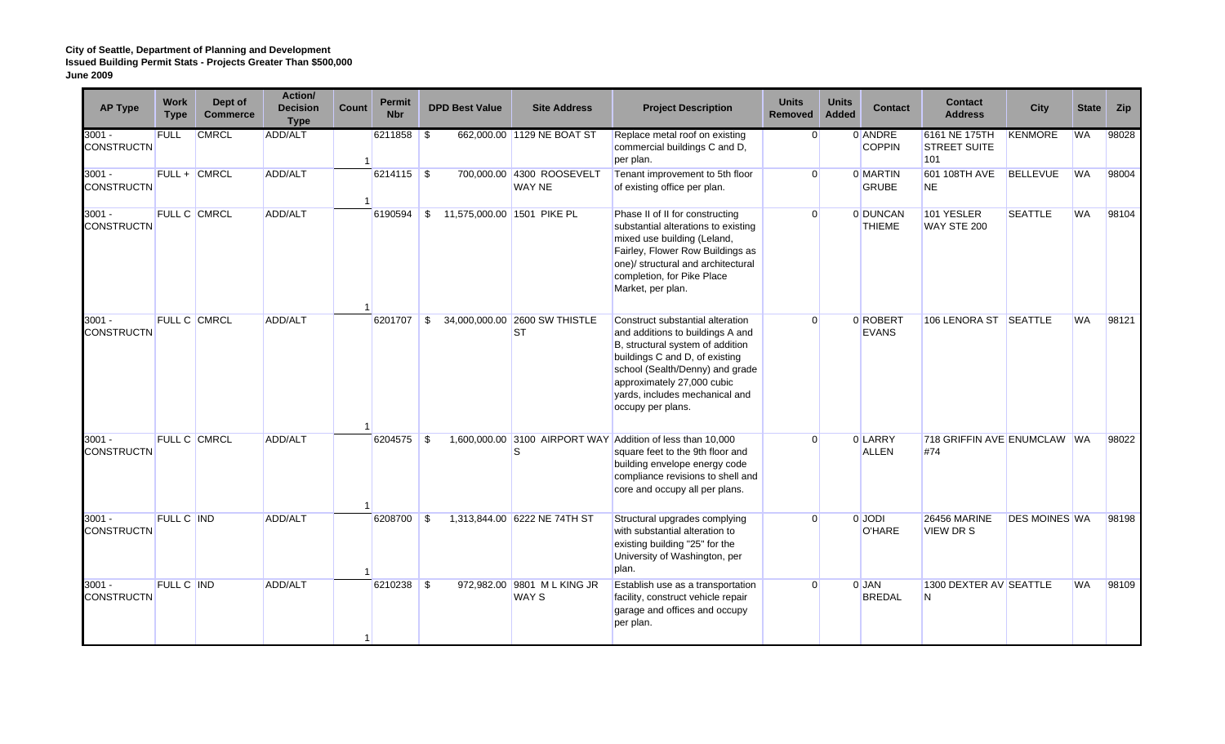| <b>AP Type</b>                | <b>Work</b><br><b>Type</b> | Dept of<br><b>Commerce</b> | Action/<br><b>Decision</b><br><b>Type</b> | Count | <b>Permit</b><br><b>Nbr</b> | <b>DPD Best Value</b> | <b>Site Address</b>                        | <b>Project Description</b>                                                                                                                                                                                                                                         | <b>Units</b><br>Removed | <b>Units</b><br>Added | <b>Contact</b>            | <b>Contact</b><br><b>Address</b>            | City                 | <b>State</b> | Zip   |
|-------------------------------|----------------------------|----------------------------|-------------------------------------------|-------|-----------------------------|-----------------------|--------------------------------------------|--------------------------------------------------------------------------------------------------------------------------------------------------------------------------------------------------------------------------------------------------------------------|-------------------------|-----------------------|---------------------------|---------------------------------------------|----------------------|--------------|-------|
| $3001 -$<br><b>CONSTRUCTN</b> | <b>FULL</b>                | <b>CMRCL</b>               | <b>ADD/ALT</b>                            | 1     | 6211858 \$                  |                       | 662,000.00 1129 NE BOAT ST                 | Replace metal roof on existing<br>commercial buildings C and D,<br>per plan.                                                                                                                                                                                       | $\overline{0}$          |                       | 0 ANDRE<br><b>COPPIN</b>  | 6161 NE 175TH<br><b>STREET SUITE</b><br>101 | KENMORE              | <b>WA</b>    | 98028 |
| $3001 -$<br><b>CONSTRUCTN</b> |                            | FULL + CMRCL               | ADD/ALT                                   | -1    |                             |                       | 700,000.00 4300 ROOSEVELT<br><b>WAY NE</b> | Tenant improvement to 5th floor<br>of existing office per plan.                                                                                                                                                                                                    | $\Omega$                |                       | 0 MARTIN<br><b>GRUBE</b>  | 601 108TH AVE<br><b>NE</b>                  | <b>BELLEVUE</b>      | <b>WA</b>    | 98004 |
| $3001 -$<br><b>CONSTRUCTN</b> |                            | <b>FULL C CMRCL</b>        | ADD/ALT                                   |       | 6190594                     | \$                    | 11,575,000.00 1501 PIKE PL                 | Phase II of II for constructing<br>substantial alterations to existing<br>mixed use building (Leland,<br>Fairley, Flower Row Buildings as<br>one)/ structural and architectural<br>completion, for Pike Place<br>Market, per plan.                                 | $\Omega$                |                       | 0 DUNCAN<br><b>THIEME</b> | 101 YESLER<br>WAY STE 200                   | <b>SEATTLE</b>       | <b>WA</b>    | 98104 |
| $3001 -$<br><b>CONSTRUCTN</b> |                            | <b>FULL C CMRCL</b>        | ADD/ALT                                   |       | 6201707                     | \$                    | 34,000,000.00 2600 SW THISTLE<br><b>ST</b> | Construct substantial alteration<br>and additions to buildings A and<br>B, structural system of addition<br>buildings C and D, of existing<br>school (Sealth/Denny) and grade<br>approximately 27,000 cubic<br>vards, includes mechanical and<br>occupy per plans. | $\Omega$                |                       | 0 ROBERT<br><b>EVANS</b>  | 106 LENORA ST SEATTLE                       |                      | <b>WA</b>    | 98121 |
| $3001 -$<br><b>CONSTRUCTN</b> |                            | FULL C CMRCL               | ADD/ALT                                   |       | $6204575$ \$                |                       | S                                          | 1,600,000.00 3100 AIRPORT WAY Addition of less than 10,000<br>square feet to the 9th floor and<br>building envelope energy code<br>compliance revisions to shell and<br>core and occupy all per plans.                                                             | $\Omega$                |                       | 0 LARRY<br><b>ALLEN</b>   | 718 GRIFFIN AVE ENUMCLAW WA<br>#74          |                      |              | 98022 |
| $3001 -$<br><b>CONSTRUCTN</b> | <b>FULL C IND</b>          |                            | ADD/ALT                                   |       | 6208700                     | <b>S</b>              | 1,313,844.00 6222 NE 74TH ST               | Structural upgrades complying<br>with substantial alteration to<br>existing building "25" for the<br>University of Washington, per<br>plan.                                                                                                                        | $\Omega$                |                       | 0 JODI<br><b>O'HARE</b>   | <b>26456 MARINE</b><br><b>VIEW DRS</b>      | <b>DES MOINES WA</b> |              | 98198 |
| $3001 -$<br><b>CONSTRUCTN</b> | <b>FULL C IND</b>          |                            | ADD/ALT                                   |       | 6210238 \$                  |                       | 972,982.00 9801 ML KING JR<br><b>WAY S</b> | Establish use as a transportation<br>facility, construct vehicle repair<br>garage and offices and occupy<br>per plan.                                                                                                                                              | $\Omega$                |                       | 0 JAN<br><b>BREDAL</b>    | 1300 DEXTER AV SEATTLE<br>N                 |                      | <b>WA</b>    | 98109 |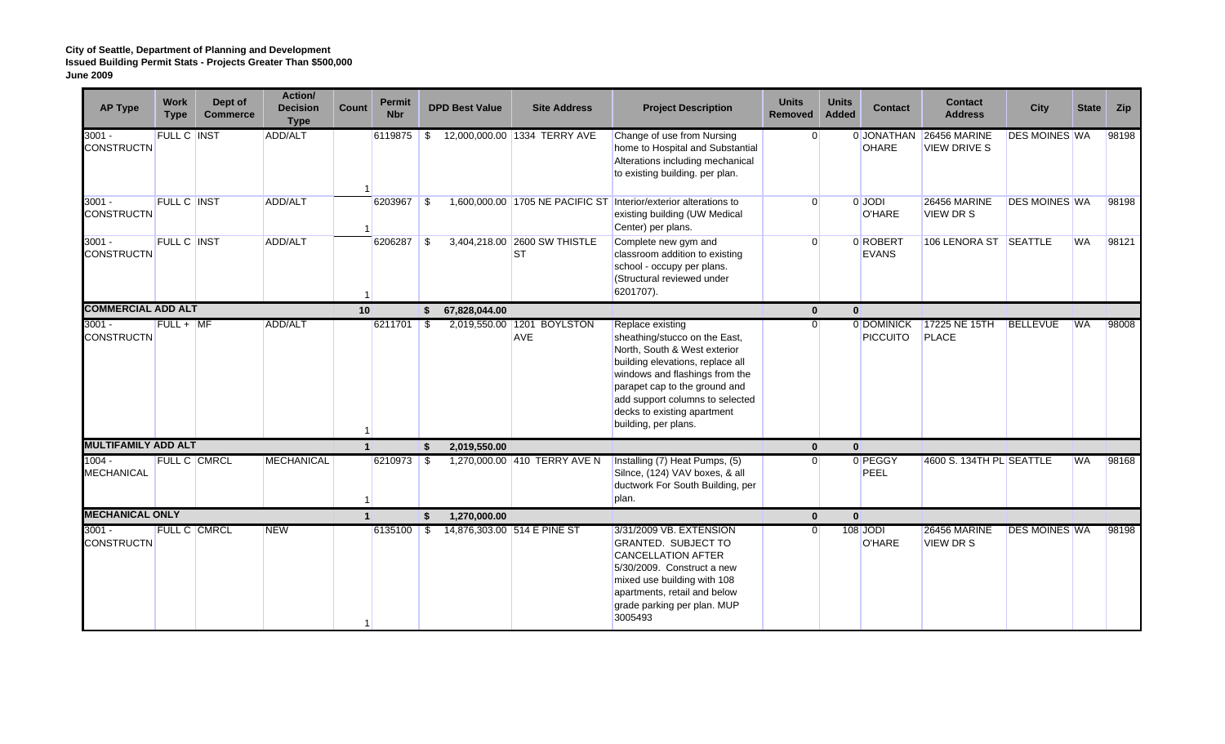| <b>AP Type</b>                | <b>Work</b><br><b>Type</b> | Dept of<br><b>Commerce</b> | <b>Action/</b><br><b>Decision</b><br><b>Type</b> | Count        | <b>Permit</b><br><b>Nbr</b> |            | <b>DPD Best Value</b> | <b>Site Address</b>                | <b>Project Description</b>                                                                                                                                                                                                                                                         | <b>Units</b><br>Removed | <b>Units</b><br>Added | <b>Contact</b>                | <b>Contact</b><br><b>Address</b>           | <b>City</b>          | <b>State</b> | <b>Zip</b> |
|-------------------------------|----------------------------|----------------------------|--------------------------------------------------|--------------|-----------------------------|------------|-----------------------|------------------------------------|------------------------------------------------------------------------------------------------------------------------------------------------------------------------------------------------------------------------------------------------------------------------------------|-------------------------|-----------------------|-------------------------------|--------------------------------------------|----------------------|--------------|------------|
| $3001 -$<br><b>CONSTRUCTN</b> | FULL C INST                |                            | ADD/ALT                                          |              | 6119875                     |            |                       | \$12,000,000.00 1334 TERRY AVE     | Change of use from Nursing<br>home to Hospital and Substantial<br>Alterations including mechanical<br>to existing building. per plan.                                                                                                                                              | $\Omega$                |                       | 0 JONATHAN<br><b>OHARE</b>    | <b>26456 MARINE</b><br><b>VIEW DRIVE S</b> | <b>DES MOINES WA</b> |              | 98198      |
| $3001 -$<br><b>CONSTRUCTN</b> | <b>FULL C INST</b>         |                            | ADD/ALT                                          |              | $6203967$ \$                |            |                       |                                    | 1,600,000.00 1705 NE PACIFIC ST Interior/exterior alterations to<br>existing building (UW Medical<br>Center) per plans.                                                                                                                                                            | $\Omega$                |                       | 0 JODI<br>O'HARE              | <b>26456 MARINE</b><br><b>VIEW DR S</b>    | <b>DES MOINES WA</b> |              | 98198      |
| $3001 -$<br><b>CONSTRUCTN</b> | <b>FULL C INST</b>         |                            | ADD/ALT                                          | -1           | 6206287 \$                  |            |                       | 3,404,218.00 2600 SW THISTLE<br>ST | Complete new gym and<br>classroom addition to existing<br>school - occupy per plans.<br>(Structural reviewed under<br>6201707).                                                                                                                                                    | $\Omega$                |                       | 0 ROBERT<br><b>EVANS</b>      | 106 LENORA ST SEATTLE                      |                      | <b>WA</b>    | 98121      |
| <b>COMMERCIAL ADD ALT</b>     |                            |                            |                                                  | 10           |                             | \$         | 67,828,044.00         |                                    |                                                                                                                                                                                                                                                                                    | $\mathbf{0}$            | $\mathbf{0}$          |                               |                                            |                      |              |            |
| $3001 -$<br><b>CONSTRUCTN</b> | $FULL + MF$                |                            | ADD/ALT                                          |              | 6211701                     | $\sqrt{3}$ | 2,019,550.00          | 1201 BOYLSTON<br><b>AVE</b>        | Replace existing<br>sheathing/stucco on the East,<br>North, South & West exterior<br>building elevations, replace all<br>windows and flashings from the<br>parapet cap to the ground and<br>add support columns to selected<br>decks to existing apartment<br>building, per plans. | $\Omega$                |                       | 0 DOMINICK<br><b>PICCUITO</b> | 17225 NE 15TH<br><b>PLACE</b>              | <b>BELLEVUE</b>      | <b>WA</b>    | 98008      |
| <b>MULTIFAMILY ADD ALT</b>    |                            |                            |                                                  | $\mathbf{1}$ |                             | Ŝ.         | 2,019,550.00          |                                    |                                                                                                                                                                                                                                                                                    | $\bf{0}$                | $\mathbf{0}$          |                               |                                            |                      |              |            |
| $1004 -$<br><b>MECHANICAL</b> |                            | <b>FULL C CMRCL</b>        | <b>MECHANICAL</b>                                | -1           | 6210973                     | l SS       |                       | 1,270,000.00 410 TERRY AVE N       | Installing (7) Heat Pumps, (5)<br>Silnce, (124) VAV boxes, & all<br>ductwork For South Building, per<br>plan.                                                                                                                                                                      | $\Omega$                |                       | 0 PEGGY<br>PEEL               | 4600 S. 134TH PL SEATTLE                   |                      | <b>WA</b>    | 98168      |
| <b>MECHANICAL ONLY</b>        |                            |                            |                                                  | $\mathbf{1}$ |                             | Ŝ.         | 1,270,000.00          |                                    |                                                                                                                                                                                                                                                                                    | $\mathbf{0}$            | $\mathbf{0}$          |                               |                                            |                      |              |            |
| $3001 -$<br><b>CONSTRUCTN</b> |                            | <b>FULL C CMRCL</b>        | <b>NEW</b>                                       |              | 6135100 \$                  |            |                       | 14,876,303.00 514 E PINE ST        | 3/31/2009 VB. EXTENSION<br><b>GRANTED. SUBJECT TO</b><br><b>CANCELLATION AFTER</b><br>5/30/2009. Construct a new<br>mixed use building with 108<br>apartments, retail and below<br>grade parking per plan. MUP<br>3005493                                                          | $\Omega$                |                       | 108 JODI<br>O'HARE            | <b>26456 MARINE</b><br><b>VIEW DR S</b>    | <b>DES MOINES WA</b> |              | 98198      |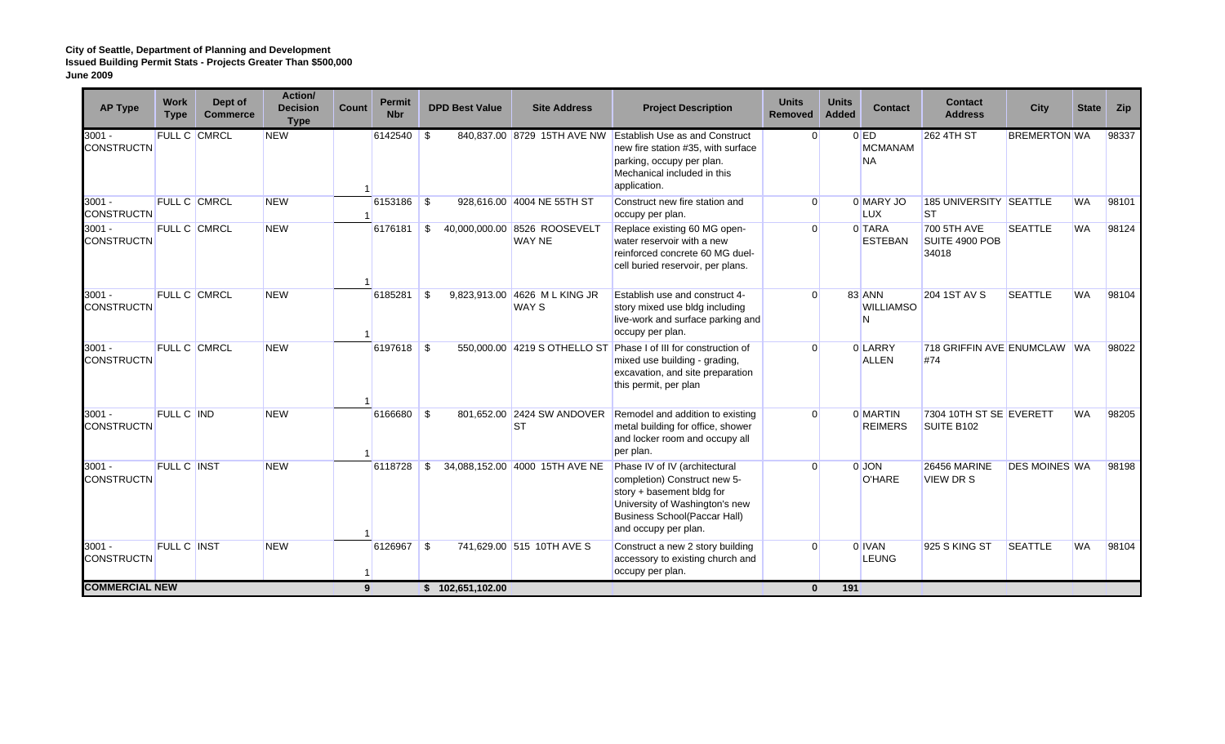| <b>AP Type</b>                | <b>Work</b><br><b>Type</b> | Dept of<br><b>Commerce</b> | Action/<br><b>Decision</b><br><b>Type</b> | Count | <b>Permit</b><br><b>Nbr</b> | <b>DPD Best Value</b> | <b>Site Address</b>                           | <b>Project Description</b>                                                                                                                                                                  | <b>Units</b><br><b>Removed</b> | <b>Units</b><br><b>Added</b> | <b>Contact</b>                        | <b>Contact</b><br><b>Address</b>       | <b>City</b>          | <b>State</b> | Zip   |
|-------------------------------|----------------------------|----------------------------|-------------------------------------------|-------|-----------------------------|-----------------------|-----------------------------------------------|---------------------------------------------------------------------------------------------------------------------------------------------------------------------------------------------|--------------------------------|------------------------------|---------------------------------------|----------------------------------------|----------------------|--------------|-------|
| $3001 -$<br><b>CONSTRUCTN</b> |                            | FULL C CMRCL               | <b>NEW</b>                                |       | 6142540 $\frac{1}{3}$       |                       | 840,837.00 8729 15TH AVE NW                   | <b>Establish Use as and Construct</b><br>new fire station #35, with surface<br>parking, occupy per plan.<br>Mechanical included in this<br>application.                                     | $\Omega$                       |                              | $0$ ED<br><b>MCMANAM</b><br><b>NA</b> | 262 4TH ST                             | <b>BREMERTON WA</b>  |              | 98337 |
| $3001 -$<br><b>CONSTRUCTN</b> |                            | <b>FULL C CMRCL</b>        | <b>NEW</b>                                |       | 6153186 \$                  |                       | 928,616.00 4004 NE 55TH ST                    | Construct new fire station and<br>occupy per plan.                                                                                                                                          | $\Omega$                       |                              | 0 MARY JO<br>LUX                      | 185 UNIVERSITY SEATTLE<br><b>ST</b>    |                      | <b>WA</b>    | 98101 |
| $3001 -$<br><b>CONSTRUCTN</b> |                            | <b>FULL C CMRCL</b>        | <b>NEW</b>                                |       | 6176181                     | \$                    | 40,000,000.00 8526 ROOSEVELT<br><b>WAY NE</b> | Replace existing 60 MG open-<br>water reservoir with a new<br>reinforced concrete 60 MG duel-<br>cell buried reservoir, per plans.                                                          | $\Omega$                       |                              | 0 TARA<br><b>ESTEBAN</b>              | 700 5TH AVE<br>SUITE 4900 POB<br>34018 | <b>SEATTLE</b>       | <b>WA</b>    | 98124 |
| $3001 -$<br><b>CONSTRUCTN</b> |                            | <b>FULL C CMRCL</b>        | <b>NEW</b>                                |       | 6185281                     | l \$                  | 9,823,913.00 4626 M L KING JR<br><b>WAY S</b> | Establish use and construct 4-<br>story mixed use bldg including<br>live-work and surface parking and<br>occupy per plan.                                                                   | $\Omega$                       |                              | 83 ANN<br><b>WILLIAMSO</b><br>N       | 204 1ST AV S                           | <b>SEATTLE</b>       | <b>WA</b>    | 98104 |
| $3001 -$<br><b>CONSTRUCTN</b> |                            | FULL C CMRCL               | <b>NEW</b>                                |       | $6197618$ \$                |                       |                                               | 550,000.00 4219 S OTHELLO ST Phase I of III for construction of<br>mixed use building - grading,<br>excavation, and site preparation<br>this permit, per plan                               | $\Omega$                       |                              | 0 LARRY<br><b>ALLEN</b>               | 718 GRIFFIN AVE ENUMCLAW WA<br>#74     |                      |              | 98022 |
| $3001 -$<br><b>CONSTRUCTN</b> | FULL C IND                 |                            | <b>NEW</b>                                |       | 6166680 \$                  |                       | 801,652.00 2424 SW ANDOVER<br><b>ST</b>       | Remodel and addition to existing<br>metal building for office, shower<br>and locker room and occupy all<br>per plan.                                                                        | $\Omega$                       |                              | 0 MARTIN<br><b>REIMERS</b>            | 7304 10TH ST SE EVERETT<br>SUITE B102  |                      | <b>WA</b>    | 98205 |
| $3001 -$<br><b>CONSTRUCTN</b> | <b>FULL C INST</b>         |                            | <b>NEW</b>                                |       | 6118728                     | \$                    | 34,088,152.00 4000 15TH AVE NE                | Phase IV of IV (architectural<br>completion) Construct new 5-<br>story + basement bldg for<br>University of Washington's new<br><b>Business School(Paccar Hall)</b><br>and occupy per plan. | $\Omega$                       |                              | 0 JON<br><b>O'HARE</b>                | <b>26456 MARINE</b><br><b>VIEW DRS</b> | <b>DES MOINES WA</b> |              | 98198 |
| $3001 -$<br><b>CONSTRUCTN</b> | <b>FULL C INST</b>         |                            | <b>NEW</b>                                |       | 6126967 \$                  |                       | 741,629.00 515 10TH AVE S                     | Construct a new 2 story building<br>accessory to existing church and<br>occupy per plan.                                                                                                    | $\Omega$                       |                              | 0 IVAN<br><b>LEUNG</b>                | 925 S KING ST                          | <b>SEATTLE</b>       | <b>WA</b>    | 98104 |
| <b>COMMERCIAL NEW</b>         |                            |                            |                                           | 9     |                             | \$102,651,102.00      |                                               |                                                                                                                                                                                             | $\bf{0}$                       | 191                          |                                       |                                        |                      |              |       |